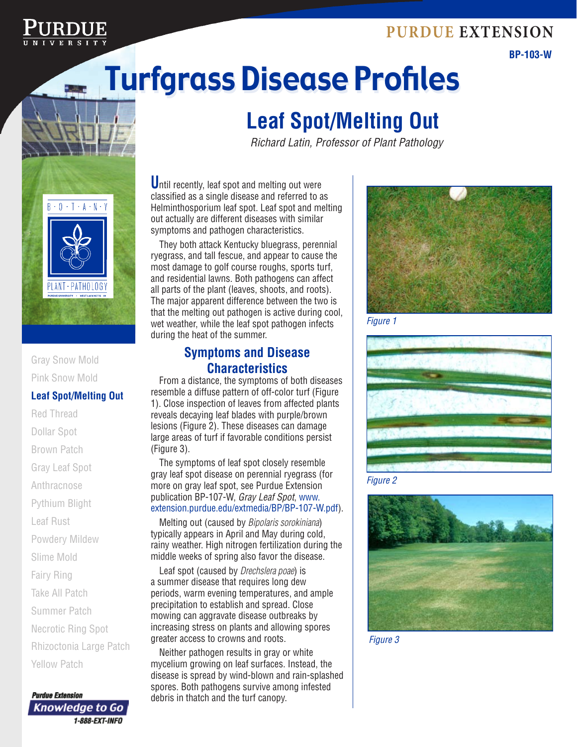## **Purdue Extension**



**BP-103-W**

# Turfgrass Disease Profiles Turfgrass Disease Profiles

# **Leaf Spot/Melting Out**

*Richard Latin, Professor of Plant Pathology*



#### Gray Snow Mold Pink Snow Mold

#### **Leaf Spot/Melting Out**

- Red Thread Dollar Spot Brown Patch Gray Leaf Spot Anthracnose
- Pythium Blight
- Leaf Rust
- Powdery Mildew
- Slime Mold
- Fairy Ring
- Take All Patch
- Summer Patch
- Necrotic Ring Spot
- Rhizoctonia Large Patch
- Yellow Patch



Until recently, leaf spot and melting out were classified as a single disease and referred to as Helminthosporium leaf spot. Leaf spot and melting out actually are different diseases with similar symptoms and pathogen characteristics.

They both attack Kentucky bluegrass, perennial ryegrass, and tall fescue, and appear to cause the most damage to golf course roughs, sports turf, and residential lawns. Both pathogens can affect all parts of the plant (leaves, shoots, and roots). The major apparent difference between the two is that the melting out pathogen is active during cool, wet weather, while the leaf spot pathogen infects during the heat of the summer.

### **Symptoms and Disease Characteristics**

From a distance, the symptoms of both diseases resemble a diffuse pattern of off-color turf (Figure 1). Close inspection of leaves from affected plants reveals decaying leaf blades with purple/brown lesions (Figure 2). These diseases can damage large areas of turf if favorable conditions persist (Figure 3).

The symptoms of leaf spot closely resemble gray leaf spot disease on perennial ryegrass (for more on gray leaf spot, see Purdue Extension publication BP-107-W, *Gray Leaf Spot*, www. extension.purdue.edu/extmedia/BP/BP-107-W.pdf).

Melting out (caused by *Bipolaris sorokiniana*) typically appears in April and May during cold, rainy weather. High nitrogen fertilization during the middle weeks of spring also favor the disease.

Leaf spot (caused by *Drechslera poae*) is a summer disease that requires long dew periods, warm evening temperatures, and ample precipitation to establish and spread. Close mowing can aggravate disease outbreaks by increasing stress on plants and allowing spores greater access to crowns and roots.

Neither pathogen results in gray or white mycelium growing on leaf surfaces. Instead, the disease is spread by wind-blown and rain-splashed spores. Both pathogens survive among infested debris in thatch and the turf canopy.



*Figure 1*







*Figure 3*